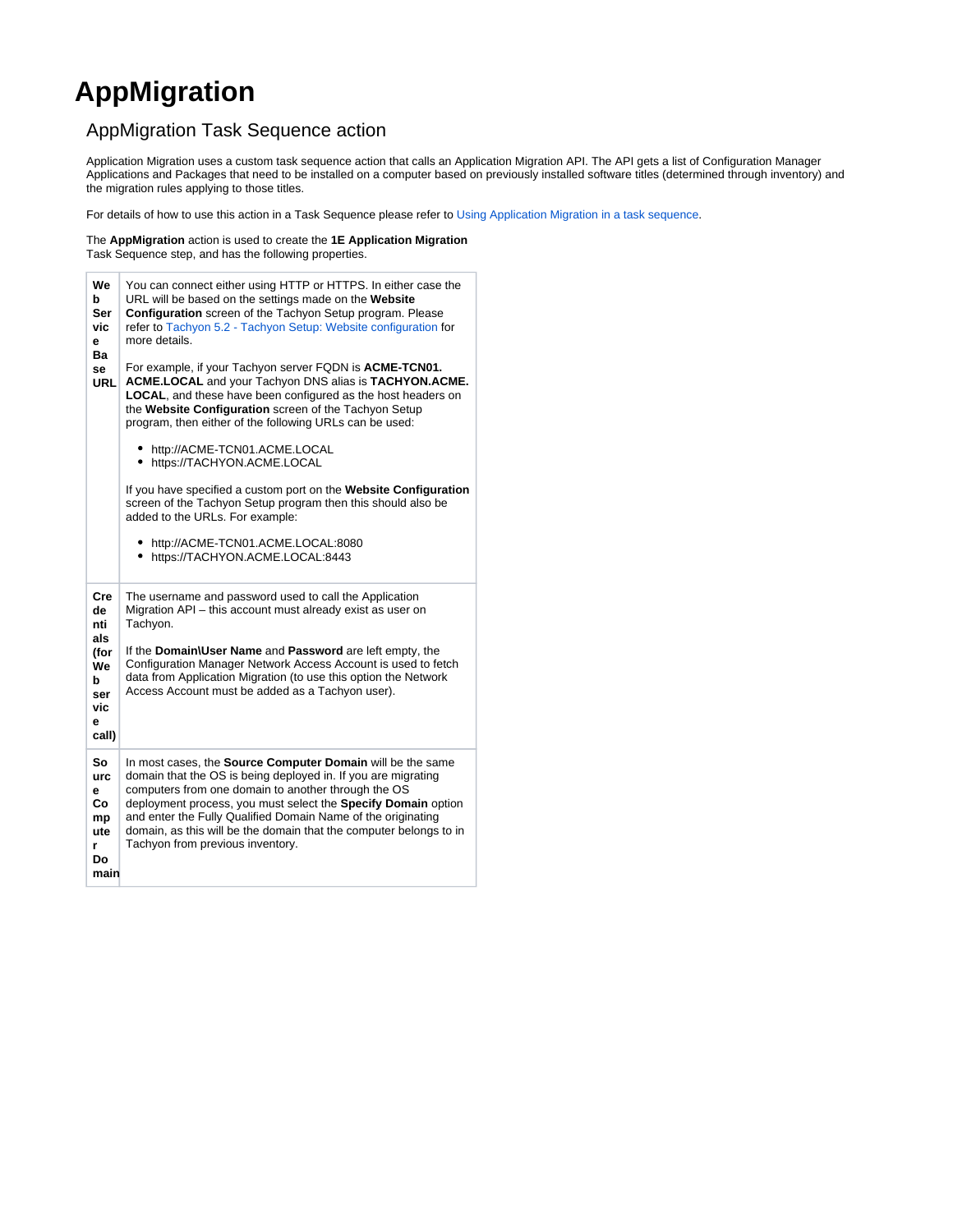## **AppMigration**

## AppMigration Task Sequence action

Application Migration uses a custom task sequence action that calls an Application Migration API. The API gets a list of Configuration Manager Applications and Packages that need to be installed on a computer based on previously installed software titles (determined through inventory) and the migration rules applying to those titles.

For details of how to use this action in a Task Sequence please refer to [Using Application Migration in a task sequence](https://help.1e.com/display/APPMIG31/Using+Application+Migration+in+a+task+sequence).

The **AppMigration** action is used to create the **1E Application Migration** Task Sequence step, and has the following properties.

| We<br>b<br>Ser<br>vic<br>е<br>Ba<br>se<br>URL                          | You can connect either using HTTP or HTTPS. In either case the<br>URL will be based on the settings made on the Website<br>Configuration screen of the Tachyon Setup program. Please<br>refer to Tachyon 5.2 - Tachyon Setup: Website configuration for<br>more details.<br>For example, if your Tachyon server FQDN is ACME-TCN01.<br>ACME.LOCAL and your Tachyon DNS alias is TACHYON.ACME.<br><b>LOCAL</b> , and these have been configured as the host headers on<br>the Website Configuration screen of the Tachyon Setup<br>program, then either of the following URLs can be used:<br>• http://ACME-TCN01.ACME.LOCAL<br>• https://TACHYON.ACME.LOCAL<br>If you have specified a custom port on the Website Configuration<br>screen of the Tachyon Setup program then this should also be<br>added to the URLs. For example:<br>• http://ACME-TCN01.ACME.LOCAL:8080<br>• https://TACHYON.ACME.LOCAL:8443 |
|------------------------------------------------------------------------|----------------------------------------------------------------------------------------------------------------------------------------------------------------------------------------------------------------------------------------------------------------------------------------------------------------------------------------------------------------------------------------------------------------------------------------------------------------------------------------------------------------------------------------------------------------------------------------------------------------------------------------------------------------------------------------------------------------------------------------------------------------------------------------------------------------------------------------------------------------------------------------------------------------|
| Cre<br>de<br>nti<br>als<br>(for<br>We<br>b<br>ser<br>vic<br>e<br>call) | The username and password used to call the Application<br>Migration API - this account must already exist as user on<br>Tachyon.<br>If the Domain\User Name and Password are left empty, the<br>Configuration Manager Network Access Account is used to fetch<br>data from Application Migration (to use this option the Network<br>Access Account must be added as a Tachyon user).                                                                                                                                                                                                                                                                                                                                                                                                                                                                                                                           |
| So<br>urc<br>е<br>Co<br>mp<br>ute<br>r<br>Do<br>main                   | In most cases, the Source Computer Domain will be the same<br>domain that the OS is being deployed in. If you are migrating<br>computers from one domain to another through the OS<br>deployment process, you must select the Specify Domain option<br>and enter the Fully Qualified Domain Name of the originating<br>domain, as this will be the domain that the computer belongs to in<br>Tachyon from previous inventory.                                                                                                                                                                                                                                                                                                                                                                                                                                                                                  |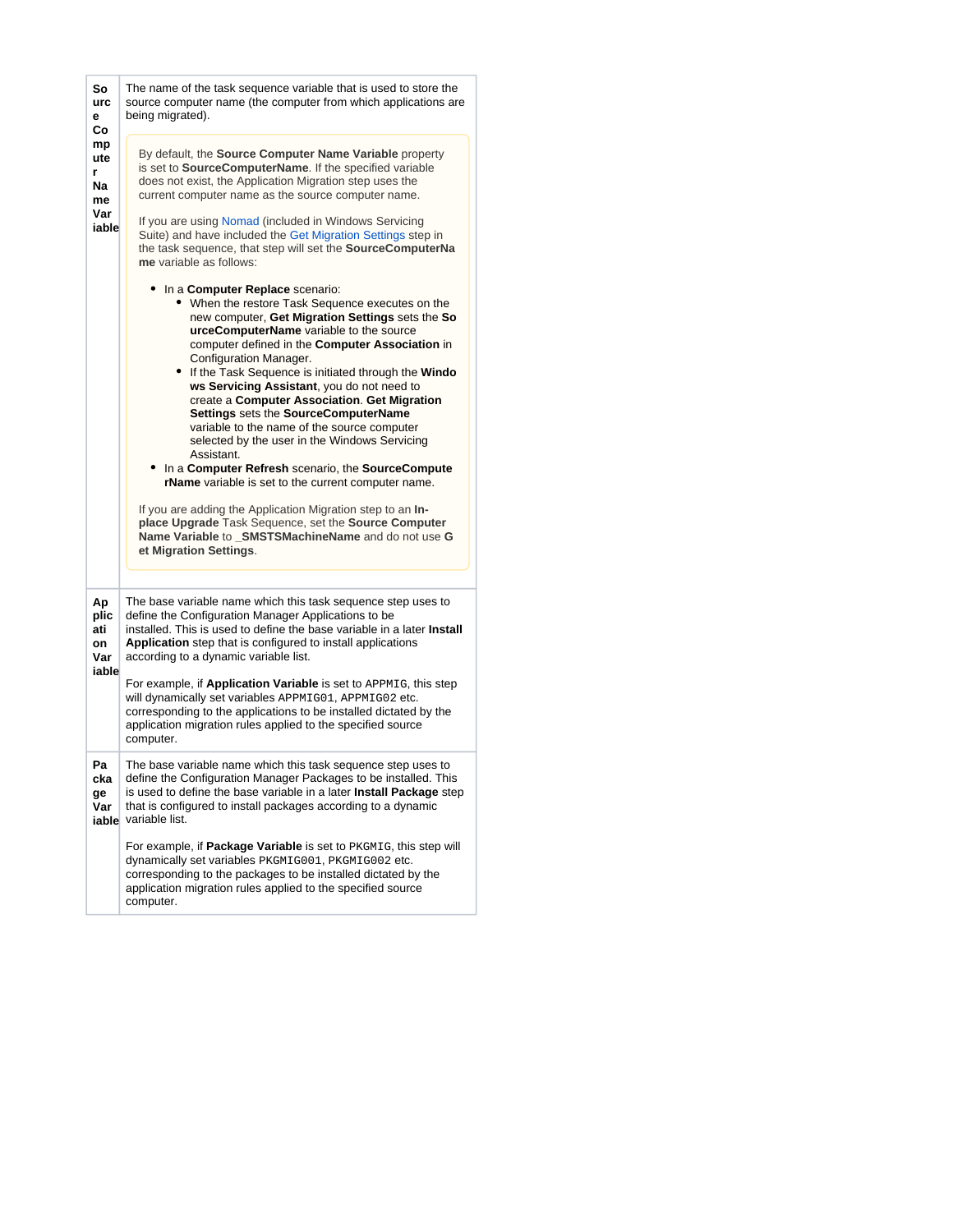| So<br>urc<br>е<br>Сo                       | The name of the task sequence variable that is used to store the<br>source computer name (the computer from which applications are<br>being migrated).                                                                                                                                                                                                                                                                                                                                                                                                                                                                                                                                                                                                                                                                                                                                                |  |  |  |
|--------------------------------------------|-------------------------------------------------------------------------------------------------------------------------------------------------------------------------------------------------------------------------------------------------------------------------------------------------------------------------------------------------------------------------------------------------------------------------------------------------------------------------------------------------------------------------------------------------------------------------------------------------------------------------------------------------------------------------------------------------------------------------------------------------------------------------------------------------------------------------------------------------------------------------------------------------------|--|--|--|
| mp<br>ute<br>r<br>Na<br>me<br>Var<br>iable | By default, the <b>Source Computer Name Variable</b> property<br>is set to SourceComputerName. If the specified variable<br>does not exist, the Application Migration step uses the<br>current computer name as the source computer name.<br>If you are using Nomad (included in Windows Servicing<br>Suite) and have included the Get Migration Settings step in<br>the task sequence, that step will set the SourceComputerNa<br>me variable as follows:                                                                                                                                                                                                                                                                                                                                                                                                                                            |  |  |  |
|                                            | In a <b>Computer Replace</b> scenario:<br>• When the restore Task Sequence executes on the<br>new computer, Get Migration Settings sets the So<br>urceComputerName variable to the source<br>computer defined in the Computer Association in<br>Configuration Manager.<br>• If the Task Sequence is initiated through the Windo<br>ws Servicing Assistant, you do not need to<br>create a Computer Association. Get Migration<br>Settings sets the SourceComputerName<br>variable to the name of the source computer<br>selected by the user in the Windows Servicing<br>Assistant.<br>In a Computer Refresh scenario, the SourceCompute<br>rName variable is set to the current computer name.<br>If you are adding the Application Migration step to an In-<br>place Upgrade Task Sequence, set the Source Computer<br>Name Variable to SMSTSMachineName and do not use G<br>et Migration Settings. |  |  |  |
| Аp<br>plic<br>ati<br>on<br>Var<br>iable    | The base variable name which this task sequence step uses to<br>define the Configuration Manager Applications to be<br>installed. This is used to define the base variable in a later Install<br>Application step that is configured to install applications<br>according to a dynamic variable list.<br>For example, if Application Variable is set to APPMIG, this step<br>will dynamically set variables APPMIG01, APPMIG02 etc.<br>corresponding to the applications to be installed dictated by the<br>application migration rules applied to the specified source<br>computer.                                                                                                                                                                                                                                                                                                                  |  |  |  |
| Pa<br>cka<br>ge<br>Var                     | The base variable name which this task sequence step uses to<br>define the Configuration Manager Packages to be installed. This<br>is used to define the base variable in a later Install Package step<br>that is configured to install packages according to a dynamic<br>iable variable list.                                                                                                                                                                                                                                                                                                                                                                                                                                                                                                                                                                                                       |  |  |  |
|                                            | For example, if Package Variable is set to PKGMIG, this step will<br>dynamically set variables PKGMIG001, PKGMIG002 etc.<br>corresponding to the packages to be installed dictated by the<br>application migration rules applied to the specified source<br>computer.                                                                                                                                                                                                                                                                                                                                                                                                                                                                                                                                                                                                                                 |  |  |  |